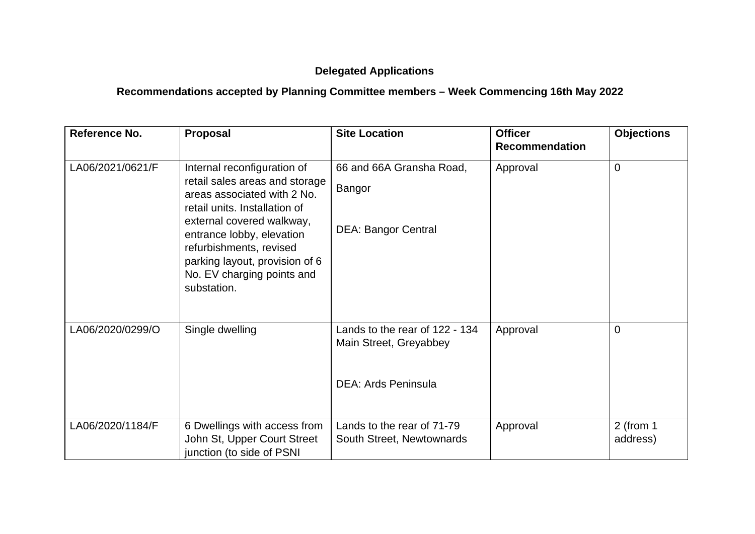## **Delegated Applications**

## **Recommendations accepted by Planning Committee members – Week Commencing 16th May 2022**

| Reference No.    | <b>Proposal</b>                                                                                                                                                                                                                                                                                   | <b>Site Location</b>                                                                   | <b>Officer</b><br><b>Recommendation</b> | <b>Objections</b>       |
|------------------|---------------------------------------------------------------------------------------------------------------------------------------------------------------------------------------------------------------------------------------------------------------------------------------------------|----------------------------------------------------------------------------------------|-----------------------------------------|-------------------------|
| LA06/2021/0621/F | Internal reconfiguration of<br>retail sales areas and storage<br>areas associated with 2 No.<br>retail units. Installation of<br>external covered walkway,<br>entrance lobby, elevation<br>refurbishments, revised<br>parking layout, provision of 6<br>No. EV charging points and<br>substation. | 66 and 66A Gransha Road,<br>Bangor<br><b>DEA: Bangor Central</b>                       | Approval                                | 0                       |
| LA06/2020/0299/O | Single dwelling                                                                                                                                                                                                                                                                                   | Lands to the rear of 122 - 134<br>Main Street, Greyabbey<br><b>DEA: Ards Peninsula</b> | Approval                                | 0                       |
| LA06/2020/1184/F | 6 Dwellings with access from<br>John St, Upper Court Street<br>junction (to side of PSNI                                                                                                                                                                                                          | Lands to the rear of 71-79<br>South Street, Newtownards                                | Approval                                | $2$ (from 1<br>address) |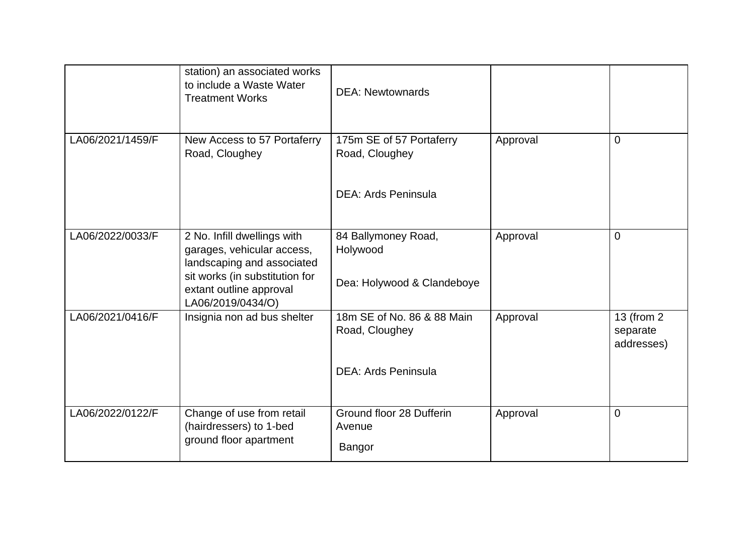|                  | station) an associated works<br>to include a Waste Water<br><b>Treatment Works</b>      | <b>DEA: Newtownards</b>                      |          |                                       |
|------------------|-----------------------------------------------------------------------------------------|----------------------------------------------|----------|---------------------------------------|
| LA06/2021/1459/F | New Access to 57 Portaferry<br>Road, Cloughey                                           | 175m SE of 57 Portaferry<br>Road, Cloughey   | Approval | 0                                     |
|                  |                                                                                         | <b>DEA: Ards Peninsula</b>                   |          |                                       |
| LA06/2022/0033/F | 2 No. Infill dwellings with<br>garages, vehicular access,<br>landscaping and associated | 84 Ballymoney Road,<br>Holywood              | Approval | $\overline{0}$                        |
|                  | sit works (in substitution for<br>extant outline approval<br>LA06/2019/0434/O)          | Dea: Holywood & Clandeboye                   |          |                                       |
| LA06/2021/0416/F | Insignia non ad bus shelter                                                             | 18m SE of No. 86 & 88 Main<br>Road, Cloughey | Approval | 13 (from 2)<br>separate<br>addresses) |
|                  |                                                                                         | <b>DEA: Ards Peninsula</b>                   |          |                                       |
| LA06/2022/0122/F | Change of use from retail<br>(hairdressers) to 1-bed<br>ground floor apartment          | Ground floor 28 Dufferin<br>Avenue<br>Bangor | Approval | $\overline{0}$                        |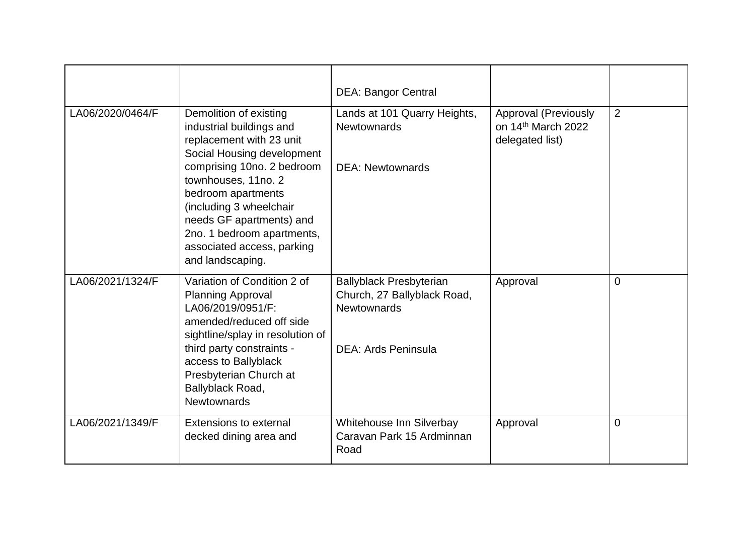|                  |                                                                                                                                                                                                                                                | <b>DEA: Bangor Central</b>                                                          |                                                                                  |             |
|------------------|------------------------------------------------------------------------------------------------------------------------------------------------------------------------------------------------------------------------------------------------|-------------------------------------------------------------------------------------|----------------------------------------------------------------------------------|-------------|
| LA06/2020/0464/F | Demolition of existing<br>industrial buildings and<br>replacement with 23 unit<br>Social Housing development<br>comprising 10no. 2 bedroom<br>townhouses, 11no. 2<br>bedroom apartments<br>(including 3 wheelchair<br>needs GF apartments) and | Lands at 101 Quarry Heights,<br><b>Newtownards</b><br><b>DEA: Newtownards</b>       | <b>Approval (Previously</b><br>on 14 <sup>th</sup> March 2022<br>delegated list) | 2           |
|                  | 2no. 1 bedroom apartments,<br>associated access, parking<br>and landscaping.                                                                                                                                                                   |                                                                                     |                                                                                  |             |
| LA06/2021/1324/F | Variation of Condition 2 of<br><b>Planning Approval</b><br>LA06/2019/0951/F:<br>amended/reduced off side<br>sightline/splay in resolution of                                                                                                   | <b>Ballyblack Presbyterian</b><br>Church, 27 Ballyblack Road,<br><b>Newtownards</b> | Approval                                                                         | $\Omega$    |
|                  | third party constraints -<br>access to Ballyblack<br>Presbyterian Church at<br>Ballyblack Road,<br><b>Newtownards</b>                                                                                                                          | <b>DEA: Ards Peninsula</b>                                                          |                                                                                  |             |
| LA06/2021/1349/F | Extensions to external<br>decked dining area and                                                                                                                                                                                               | Whitehouse Inn Silverbay<br>Caravan Park 15 Ardminnan<br>Road                       | Approval                                                                         | $\mathbf 0$ |